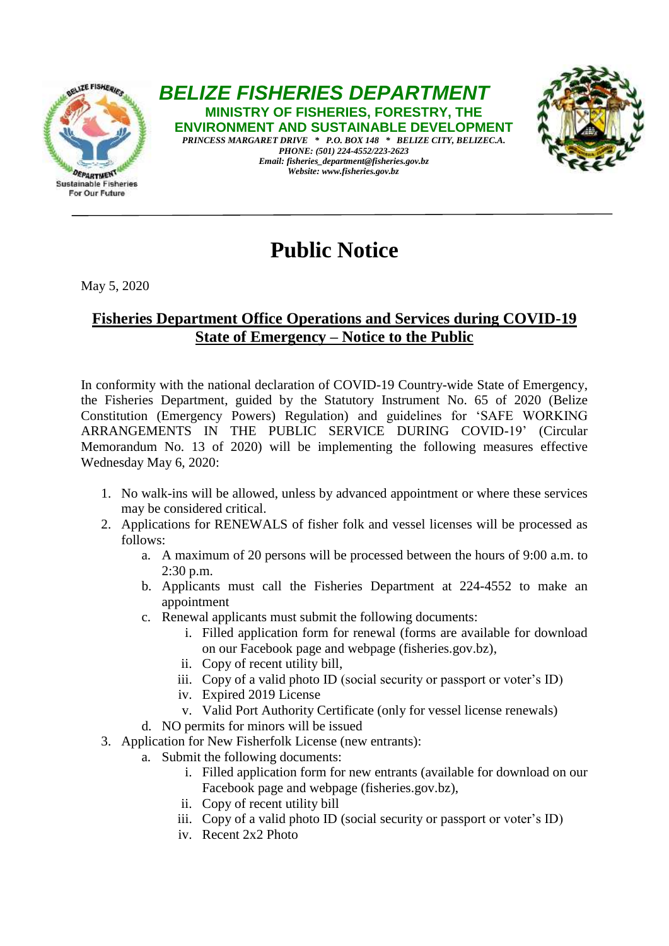

*BELIZE FISHERIES DEPARTMENT* **MINISTRY OF FISHERIES, FORESTRY, THE ENVIRONMENT AND SUSTAINABLE DEVELOPMENT** 

*PRINCESS MARGARET DRIVE \* P.O. BOX 148 \* BELIZE CITY, BELIZEC.A. PHONE: (501) 224-4552/223-2623 Email: fisheries\_department@fisheries.gov.bz Website: www.fisheries.gov.bz*



## **Public Notice**

## May 5, 2020

## **Fisheries Department Office Operations and Services during COVID-19 State of Emergency – Notice to the Public**

In conformity with the national declaration of COVID-19 Country-wide State of Emergency, the Fisheries Department, guided by the Statutory Instrument No. 65 of 2020 (Belize Constitution (Emergency Powers) Regulation) and guidelines for 'SAFE WORKING ARRANGEMENTS IN THE PUBLIC SERVICE DURING COVID-19' (Circular Memorandum No. 13 of 2020) will be implementing the following measures effective Wednesday May 6, 2020:

- 1. No walk-ins will be allowed, unless by advanced appointment or where these services may be considered critical.
- 2. Applications for RENEWALS of fisher folk and vessel licenses will be processed as follows:
	- a. A maximum of 20 persons will be processed between the hours of 9:00 a.m. to 2:30 p.m.
	- b. Applicants must call the Fisheries Department at 224-4552 to make an appointment
	- c. Renewal applicants must submit the following documents:
		- i. Filled application form for renewal (forms are available for download on our Facebook page and webpage (fisheries.gov.bz),
		- ii. Copy of recent utility bill,
		- iii. Copy of a valid photo ID (social security or passport or voter's ID)
		- iv. Expired 2019 License
		- v. Valid Port Authority Certificate (only for vessel license renewals)
	- d. NO permits for minors will be issued
- 3. Application for New Fisherfolk License (new entrants):
	- a. Submit the following documents:
		- i. Filled application form for new entrants (available for download on our Facebook page and webpage (fisheries.gov.bz),
		- ii. Copy of recent utility bill
		- iii. Copy of a valid photo ID (social security or passport or voter's ID)
		- iv. Recent 2x2 Photo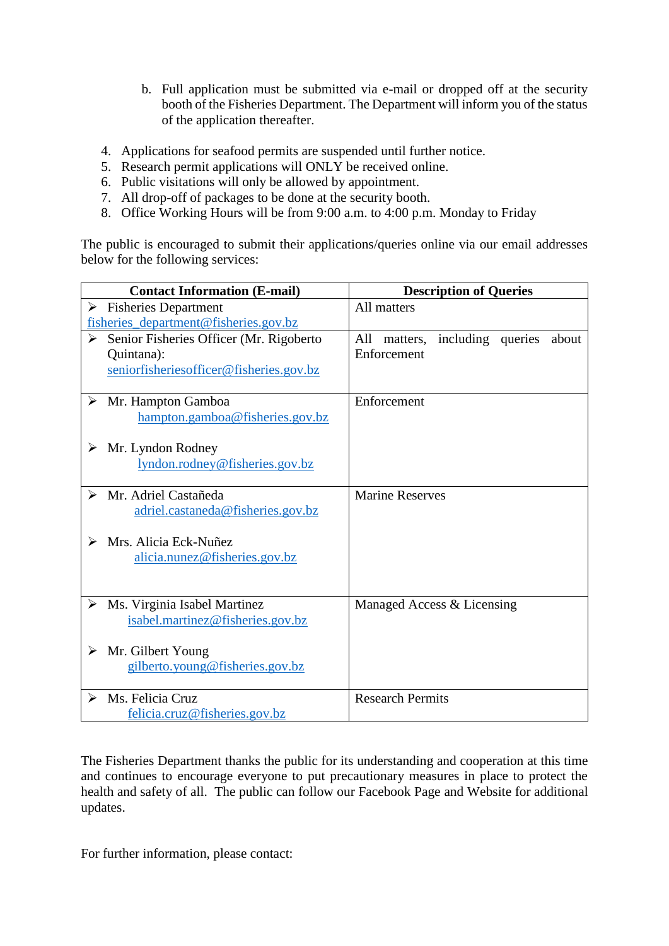- b. Full application must be submitted via e-mail or dropped off at the security booth of the Fisheries Department. The Department will inform you of the status of the application thereafter.
- 4. Applications for seafood permits are suspended until further notice.
- 5. Research permit applications will ONLY be received online.
- 6. Public visitations will only be allowed by appointment.
- 7. All drop-off of packages to be done at the security booth.
- 8. Office Working Hours will be from 9:00 a.m. to 4:00 p.m. Monday to Friday

The public is encouraged to submit their applications/queries online via our email addresses below for the following services:

| <b>Contact Information (E-mail)</b>           | <b>Description of Queries</b>           |
|-----------------------------------------------|-----------------------------------------|
| $\triangleright$ Fisheries Department         | All matters                             |
| fisheries_department@fisheries.gov.bz         |                                         |
| Senior Fisheries Officer (Mr. Rigoberto<br>➤  | All matters, including queries<br>about |
| Quintana):                                    | Enforcement                             |
| seniorfisheriesofficer@fisheries.gov.bz       |                                         |
|                                               |                                         |
| $\triangleright$ Mr. Hampton Gamboa           | Enforcement                             |
| hampton.gamboa@fisheries.gov.bz               |                                         |
|                                               |                                         |
| $\triangleright$ Mr. Lyndon Rodney            |                                         |
| lyndon.rodney@fisheries.gov.bz                |                                         |
| $\triangleright$ Mr. Adriel Castañeda         | <b>Marine Reserves</b>                  |
|                                               |                                         |
| adriel.castaneda@fisheries.gov.bz             |                                         |
| Mrs. Alicia Eck-Nuñez<br>➤                    |                                         |
| alicia.nunez@fisheries.gov.bz                 |                                         |
|                                               |                                         |
|                                               |                                         |
| $\triangleright$ Ms. Virginia Isabel Martinez | Managed Access & Licensing              |
| isabel.martinez@fisheries.gov.bz              |                                         |
|                                               |                                         |
| $\triangleright$ Mr. Gilbert Young            |                                         |
| gilberto.young@fisheries.gov.bz               |                                         |
|                                               |                                         |
| Ms. Felicia Cruz<br>$\blacktriangleright$     | <b>Research Permits</b>                 |
| felicia.cruz@fisheries.gov.bz                 |                                         |

The Fisheries Department thanks the public for its understanding and cooperation at this time and continues to encourage everyone to put precautionary measures in place to protect the health and safety of all. The public can follow our Facebook Page and Website for additional updates.

For further information, please contact: